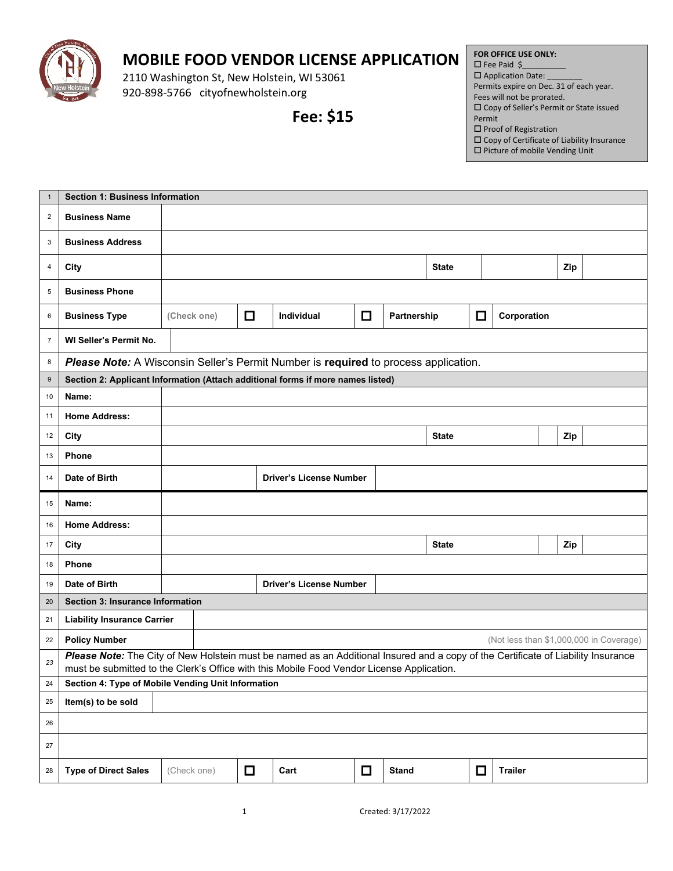

## **MOBILE FOOD VENDOR LICENSE APPLICATION**

2110 Washington St, New Holstein, WI 53061 920-898-5766 cityofnewholstein.org

**Fee: \$15**

## **FOR OFFICE USE ONLY:**  $\square$  Fee Paid \$

 $\square$  Application Date: Permits expire on Dec. 31 of each year. Fees will not be prorated. Copy of Seller's Permit or State issued

- Permit
- $\square$  Proof of Registration
- $\square$  Copy of Certificate of Liability Insurance  $\square$  Picture of mobile Vending Unit

| $\mathbf{1}$   | <b>Section 1: Business Information</b>                                                                                                          |             |                                |        |                                |        |             |              |        |             |  |     |                                         |
|----------------|-------------------------------------------------------------------------------------------------------------------------------------------------|-------------|--------------------------------|--------|--------------------------------|--------|-------------|--------------|--------|-------------|--|-----|-----------------------------------------|
| $\overline{2}$ | <b>Business Name</b>                                                                                                                            |             |                                |        |                                |        |             |              |        |             |  |     |                                         |
| 3              | <b>Business Address</b>                                                                                                                         |             |                                |        |                                |        |             |              |        |             |  |     |                                         |
| 4              | City                                                                                                                                            |             |                                |        |                                |        |             | <b>State</b> |        |             |  | Zip |                                         |
| 5              | <b>Business Phone</b>                                                                                                                           |             |                                |        |                                |        |             |              |        |             |  |     |                                         |
| 6              | <b>Business Type</b>                                                                                                                            | (Check one) |                                | $\Box$ | Individual                     | $\Box$ | Partnership |              | $\Box$ | Corporation |  |     |                                         |
| $\overline{7}$ | WI Seller's Permit No.                                                                                                                          |             |                                |        |                                |        |             |              |        |             |  |     |                                         |
| 8              | Please Note: A Wisconsin Seller's Permit Number is required to process application.                                                             |             |                                |        |                                |        |             |              |        |             |  |     |                                         |
| 9              | Section 2: Applicant Information (Attach additional forms if more names listed)                                                                 |             |                                |        |                                |        |             |              |        |             |  |     |                                         |
| 10             | Name:                                                                                                                                           |             |                                |        |                                |        |             |              |        |             |  |     |                                         |
| 11             | <b>Home Address:</b>                                                                                                                            |             |                                |        |                                |        |             |              |        |             |  |     |                                         |
| 12             | City                                                                                                                                            |             | <b>State</b><br>Zip            |        |                                |        |             |              |        |             |  |     |                                         |
| 13             | <b>Phone</b>                                                                                                                                    |             |                                |        |                                |        |             |              |        |             |  |     |                                         |
| 14             | Date of Birth                                                                                                                                   |             | <b>Driver's License Number</b> |        |                                |        |             |              |        |             |  |     |                                         |
| 15             | Name:                                                                                                                                           |             |                                |        |                                |        |             |              |        |             |  |     |                                         |
|                |                                                                                                                                                 |             |                                |        |                                |        |             |              |        |             |  |     |                                         |
| 16             | <b>Home Address:</b>                                                                                                                            |             |                                |        |                                |        |             |              |        |             |  |     |                                         |
| 17             | City                                                                                                                                            |             |                                |        |                                |        |             | <b>State</b> |        |             |  | Zip |                                         |
| 18             | Phone                                                                                                                                           |             |                                |        |                                |        |             |              |        |             |  |     |                                         |
| 19             | Date of Birth                                                                                                                                   |             |                                |        | <b>Driver's License Number</b> |        |             |              |        |             |  |     |                                         |
| 20             | Section 3: Insurance Information                                                                                                                |             |                                |        |                                |        |             |              |        |             |  |     |                                         |
| 21             | <b>Liability Insurance Carrier</b>                                                                                                              |             |                                |        |                                |        |             |              |        |             |  |     |                                         |
| 22             | <b>Policy Number</b>                                                                                                                            |             |                                |        |                                |        |             |              |        |             |  |     | (Not less than \$1,000,000 in Coverage) |
| 23             | Please Note: The City of New Holstein must be named as an Additional Insured and a copy of the Certificate of Liability Insurance               |             |                                |        |                                |        |             |              |        |             |  |     |                                         |
| ${\bf 24}$     | must be submitted to the Clerk's Office with this Mobile Food Vendor License Application.<br>Section 4: Type of Mobile Vending Unit Information |             |                                |        |                                |        |             |              |        |             |  |     |                                         |
| 25             | Item(s) to be sold                                                                                                                              |             |                                |        |                                |        |             |              |        |             |  |     |                                         |
| 26             |                                                                                                                                                 |             |                                |        |                                |        |             |              |        |             |  |     |                                         |
| 27             |                                                                                                                                                 |             |                                |        |                                |        |             |              |        |             |  |     |                                         |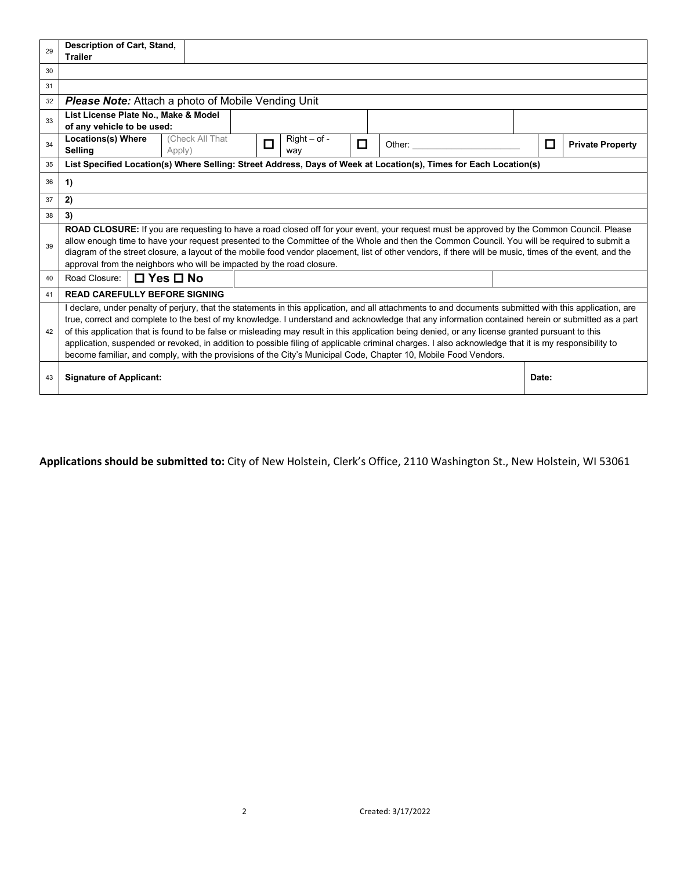| 29 | <b>Description of Cart, Stand,</b><br><b>Trailer</b>                                                                                                                                                                                                                                                                                                                                                                                                                                                                                                                                                                                                                                                                                        |                 |                                 |   |        |  |        |                         |  |
|----|---------------------------------------------------------------------------------------------------------------------------------------------------------------------------------------------------------------------------------------------------------------------------------------------------------------------------------------------------------------------------------------------------------------------------------------------------------------------------------------------------------------------------------------------------------------------------------------------------------------------------------------------------------------------------------------------------------------------------------------------|-----------------|---------------------------------|---|--------|--|--------|-------------------------|--|
| 30 |                                                                                                                                                                                                                                                                                                                                                                                                                                                                                                                                                                                                                                                                                                                                             |                 |                                 |   |        |  |        |                         |  |
| 31 |                                                                                                                                                                                                                                                                                                                                                                                                                                                                                                                                                                                                                                                                                                                                             |                 |                                 |   |        |  |        |                         |  |
| 32 | <b>Please Note:</b> Attach a photo of Mobile Vending Unit                                                                                                                                                                                                                                                                                                                                                                                                                                                                                                                                                                                                                                                                                   |                 |                                 |   |        |  |        |                         |  |
| 33 | List License Plate No., Make & Model<br>of any vehicle to be used:                                                                                                                                                                                                                                                                                                                                                                                                                                                                                                                                                                                                                                                                          |                 |                                 |   |        |  |        |                         |  |
| 34 | <b>Locations(s) Where</b><br>Selling<br>Apply)                                                                                                                                                                                                                                                                                                                                                                                                                                                                                                                                                                                                                                                                                              | (Check All That | $Right - of -$<br>$\Box$<br>way | □ | Other: |  | $\Box$ | <b>Private Property</b> |  |
| 35 | List Specified Location(s) Where Selling: Street Address, Days of Week at Location(s), Times for Each Location(s)                                                                                                                                                                                                                                                                                                                                                                                                                                                                                                                                                                                                                           |                 |                                 |   |        |  |        |                         |  |
| 36 | 1)                                                                                                                                                                                                                                                                                                                                                                                                                                                                                                                                                                                                                                                                                                                                          |                 |                                 |   |        |  |        |                         |  |
| 37 | 2)                                                                                                                                                                                                                                                                                                                                                                                                                                                                                                                                                                                                                                                                                                                                          |                 |                                 |   |        |  |        |                         |  |
| 38 | 3)                                                                                                                                                                                                                                                                                                                                                                                                                                                                                                                                                                                                                                                                                                                                          |                 |                                 |   |        |  |        |                         |  |
| 39 | ROAD CLOSURE: If you are requesting to have a road closed off for your event, your request must be approved by the Common Council. Please<br>allow enough time to have your request presented to the Committee of the Whole and then the Common Council. You will be required to submit a<br>diagram of the street closure, a layout of the mobile food vendor placement, list of other vendors, if there will be music, times of the event, and the<br>approval from the neighbors who will be impacted by the road closure.                                                                                                                                                                                                               |                 |                                 |   |        |  |        |                         |  |
| 40 | $\Box$ Yes $\Box$ No<br>Road Closure:                                                                                                                                                                                                                                                                                                                                                                                                                                                                                                                                                                                                                                                                                                       |                 |                                 |   |        |  |        |                         |  |
| 41 | <b>READ CAREFULLY BEFORE SIGNING</b>                                                                                                                                                                                                                                                                                                                                                                                                                                                                                                                                                                                                                                                                                                        |                 |                                 |   |        |  |        |                         |  |
| 42 | I declare, under penalty of perjury, that the statements in this application, and all attachments to and documents submitted with this application, are<br>true, correct and complete to the best of my knowledge. I understand and acknowledge that any information contained herein or submitted as a part<br>of this application that is found to be false or misleading may result in this application being denied, or any license granted pursuant to this<br>application, suspended or revoked, in addition to possible filing of applicable criminal charges. I also acknowledge that it is my responsibility to<br>become familiar, and comply, with the provisions of the City's Municipal Code, Chapter 10, Mobile Food Vendors. |                 |                                 |   |        |  |        |                         |  |
| 43 | <b>Signature of Applicant:</b>                                                                                                                                                                                                                                                                                                                                                                                                                                                                                                                                                                                                                                                                                                              |                 |                                 |   |        |  | Date:  |                         |  |

**Applications should be submitted to:** City of New Holstein, Clerk's Office, 2110 Washington St., New Holstein, WI 53061